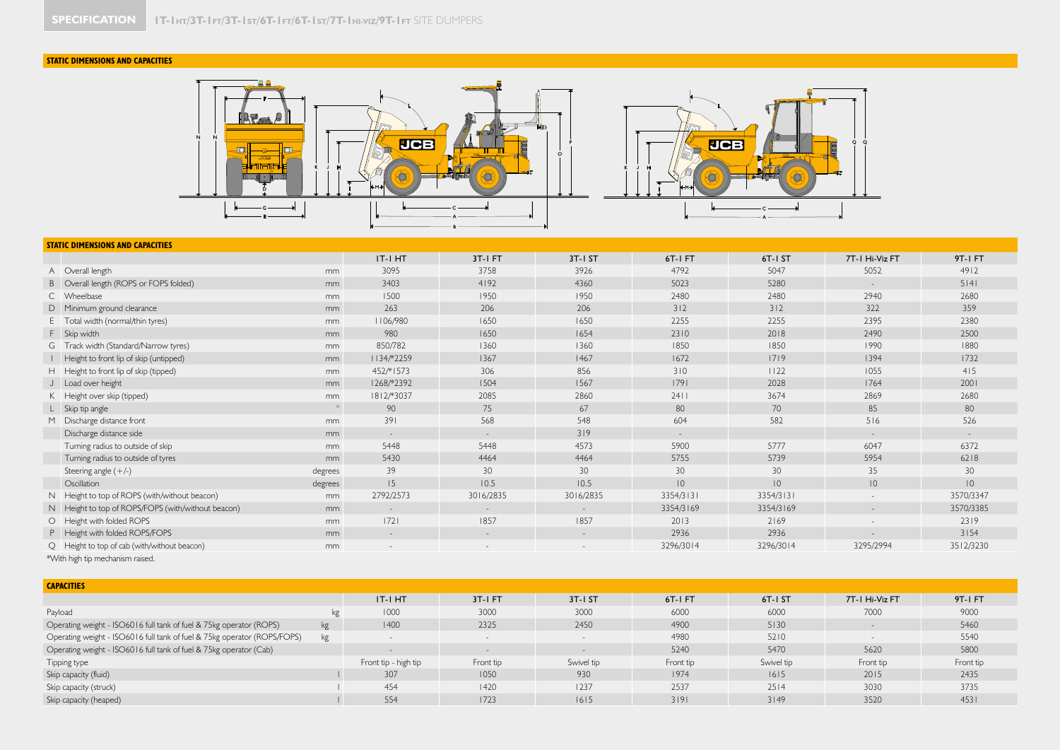## **STATIC DIMENSIONS AND CAPACITIES**



## **STATIC DIMENSIONS AND CAPACITIES**

|                                                                                                                                                                                                                                |         | IT-I HT    | 3T-I FT                  | 3T-I ST                  | 6T-I FT        | 6T-I ST        | 7T-1 Hi-Viz FT  | 9T-I FT        |
|--------------------------------------------------------------------------------------------------------------------------------------------------------------------------------------------------------------------------------|---------|------------|--------------------------|--------------------------|----------------|----------------|-----------------|----------------|
| A Overall length                                                                                                                                                                                                               | mm      | 3095       | 3758                     | 3926                     | 4792           | 5047           | 5052            | 4912           |
| B Overall length (ROPS or FOPS folded)                                                                                                                                                                                         | mm      | 3403       | 4192                     | 4360                     | 5023           | 5280           |                 | 5 4            |
| C Wheelbase                                                                                                                                                                                                                    | mm      | 1500       | 1950                     | 1950                     | 2480           | 2480           | 2940            | 2680           |
| D Minimum ground clearance                                                                                                                                                                                                     | mm      | 263        | 206                      | 206                      | 312            | 312            | 322             | 359            |
| E Total width (normal/thin tyres)                                                                                                                                                                                              | mm      | 1106/980   | 1650                     | 1650                     | 2255           | 2255           | 2395            | 2380           |
| F Skip width                                                                                                                                                                                                                   | mm      | 980        | 1650                     | 1654                     | 2310           | 2018           | 2490            | 2500           |
| G Track width (Standard/Narrow tyres)                                                                                                                                                                                          | mm      | 850/782    | 1360                     | 1360                     | 1850           | 1850           | 1990            | 1880           |
| Height to front lip of skip (untipped)                                                                                                                                                                                         | mm      | 1134/*2259 | 1367                     | 1467                     | 1672           | 1719           | 1394            | 1732           |
| H Height to front lip of skip (tipped)                                                                                                                                                                                         | mm      | 452/*1573  | 306                      | 856                      | 310            | 1122           | 1055            | 415            |
| J Load over height                                                                                                                                                                                                             | mm      | 1268/*2392 | 1504                     | 1567                     | 1791           | 2028           | 1764            | 2001           |
| K Height over skip (tipped)                                                                                                                                                                                                    | mm      | 1812/*3037 | 2085                     | 2860                     | 2411           | 3674           | 2869            | 2680           |
| L Skip tip angle                                                                                                                                                                                                               | $\circ$ | 90         | 75                       | 67                       | 80             | 70             | 85              | 80             |
| M Discharge distance front                                                                                                                                                                                                     | mm      | 391        | 568                      | 548                      | 604            | 582            | 516             | 526            |
| Discharge distance side                                                                                                                                                                                                        | mm      | $\sim$     | $\sim$                   | 319                      | $\sim$         |                | $\sim$          | $\sim$         |
| Turning radius to outside of skip                                                                                                                                                                                              | mm      | 5448       | 5448                     | 4573                     | 5900           | 5777           | 6047            | 6372           |
| Turning radius to outside of tyres                                                                                                                                                                                             | mm      | 5430       | 4464                     | 4464                     | 5755           | 5739           | 5954            | 6218           |
| Steering angle $(+/-)$                                                                                                                                                                                                         | degrees | 39         | 30                       | 30                       | 30             | 30             | 35              | 30             |
| Oscillation                                                                                                                                                                                                                    | degrees | 15         | 10.5                     | 10.5                     | $\overline{0}$ | $\overline{0}$ | $\overline{10}$ | $\overline{0}$ |
| N Height to top of ROPS (with/without beacon)                                                                                                                                                                                  | mm      | 2792/2573  | 3016/2835                | 3016/2835                | 3354/3131      | 3354/3131      |                 | 3570/3347      |
| N Height to top of ROPS/FOPS (with/without beacon)                                                                                                                                                                             | mm      | $\sim$     | $-$                      | $\overline{\phantom{a}}$ | 3354/3169      | 3354/3169      | $\sim$          | 3570/3385      |
| O   Height with folded ROPS                                                                                                                                                                                                    | mm      | 72         | 1857                     | 1857                     | 2013           | 2169           |                 | 2319           |
| P Height with folded ROPS/FOPS                                                                                                                                                                                                 | mm      | $\sim$     | $\overline{\phantom{a}}$ | $\overline{\phantom{a}}$ | 2936           | 2936           |                 | 3154           |
| Q Height to top of cab (with/without beacon)                                                                                                                                                                                   | mm      |            |                          |                          | 3296/3014      | 3296/3014      | 3295/2994       | 3512/3230      |
| ARCA And the test of the company of the continue of the continue of the continue of the continue of the continue of the continue of the continue of the continue of the continue of the continue of the continue of the contin |         |            |                          |                          |                |                |                 |                |

\*With high tip mechanism raised.

| <b>CAPACITIES</b>                                                        |    |                      |           |                          |           |            |                |           |
|--------------------------------------------------------------------------|----|----------------------|-----------|--------------------------|-----------|------------|----------------|-----------|
|                                                                          |    | IT-I HT              | $3T-1FT$  | $3T - 1ST$               | 6T-IFT    | 6T-I ST    | 7T-I Hi-Viz FT | 9T-1 FT   |
| Payload                                                                  | kg | 1000                 | 3000      | 3000                     | 6000      | 6000       | 7000           | 9000      |
| Operating weight - ISO6016 full tank of fuel & 75kg operator (ROPS)      | kg | 1400                 | 2325      | 2450                     | 4900      | 5130       |                | 5460      |
| Operating weight - ISO6016 full tank of fuel & 75kg operator (ROPS/FOPS) | kg |                      |           |                          | 4980      | 5210       |                | 5540      |
| Operating weight - ISO6016 full tank of fuel & 75kg operator (Cab)       |    |                      |           | $\overline{\phantom{0}}$ | 5240      | 5470       | 5620           | 5800      |
| Tipping type                                                             |    | Front tip - high tip | Front tip | Swivel tip               | Front tip | Swivel tip | Front tip      | Front tip |
| Skip capacity (fluid)                                                    |    | 307                  | 1050      | 930                      | 1974      | 1615       | 2015           | 2435      |
| Skip capacity (struck)                                                   |    | 454                  | 1420      | 1237                     | 2537      | 2514       | 3030           | 3735      |
| Skip capacity (heaped)                                                   |    | 554                  | 1723      | 1615                     | 3191      | 3149       | 3520           | 4531      |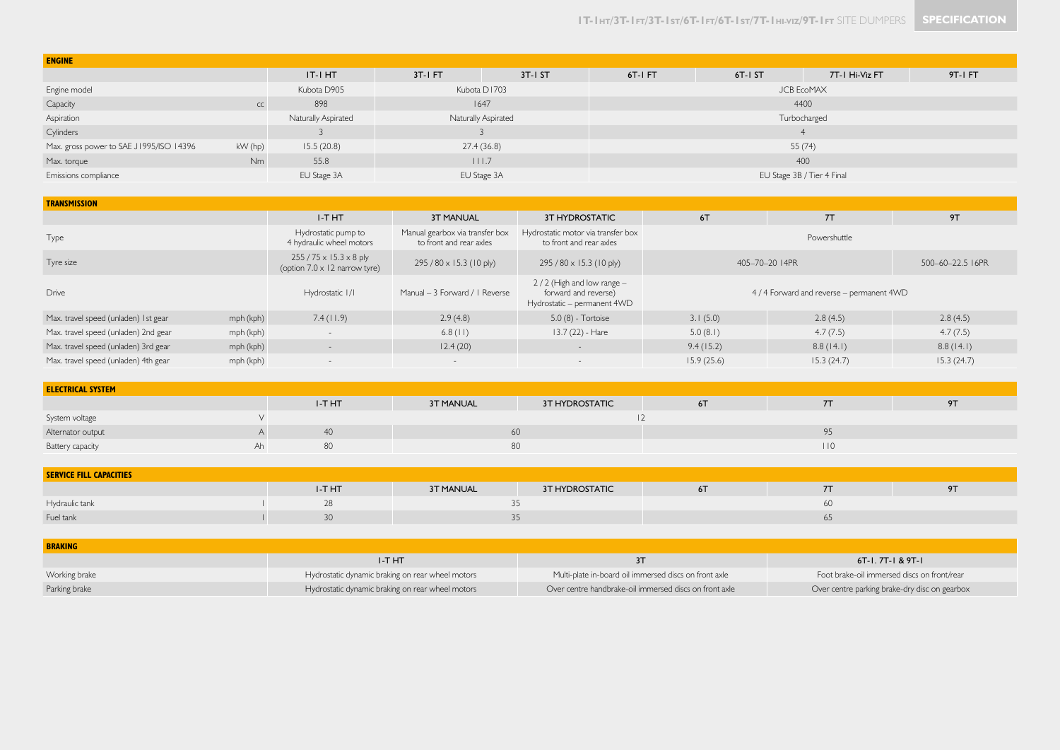| <b>ENGINE</b>                                      |           |                     |                                   |              |                            |          |                |         |  |  |
|----------------------------------------------------|-----------|---------------------|-----------------------------------|--------------|----------------------------|----------|----------------|---------|--|--|
|                                                    |           | IT-I HT             | $3T-IFT$                          | $3T-I ST$    | 6T-IFT                     | $6T-1ST$ | 7T-1 Hi-Viz FT | 9T-1 FT |  |  |
| Engine model                                       |           | Kubota D905         | <b>JCB EcoMAX</b><br>Kubota D1703 |              |                            |          |                |         |  |  |
| Capacity                                           | CC        | 898                 |                                   | 4400<br>1647 |                            |          |                |         |  |  |
| Aspiration                                         |           | Naturally Aspirated | <b>Naturally Aspirated</b>        |              | Turbocharged               |          |                |         |  |  |
| Cylinders                                          |           |                     |                                   |              |                            |          |                |         |  |  |
| Max. gross power to SAE J1995/ISO 14396<br>kW (hp) |           | 15.5(20.8)          | 27.4(36.8)                        |              | 55(74)                     |          |                |         |  |  |
| Max. torque                                        | <b>Nm</b> | 55.8                |                                   | 111.7        | 400                        |          |                |         |  |  |
| Emissions compliance                               |           | EU Stage 3A         | EU Stage 3A                       |              | EU Stage 3B / Tier 4 Final |          |                |         |  |  |

| <b>TRANSMISSION</b>                               |           |                                                                             |                                                            |                                                                                      |                                           |            |                  |  |  |  |  |
|---------------------------------------------------|-----------|-----------------------------------------------------------------------------|------------------------------------------------------------|--------------------------------------------------------------------------------------|-------------------------------------------|------------|------------------|--|--|--|--|
|                                                   |           | I-THT                                                                       | <b>3T MANUAL</b>                                           | 3T HYDROSTATIC                                                                       | 6T                                        | 7T         | 9T               |  |  |  |  |
| Type                                              |           | Hydrostatic pump to<br>4 hydraulic wheel motors                             | Manual gearbox via transfer box<br>to front and rear axles | Hydrostatic motor via transfer box<br>to front and rear axles                        | Powershuttle                              |            |                  |  |  |  |  |
| Tyre size                                         |           | $255 / 75 \times 15.3 \times 8$ ply<br>(option $7.0 \times 12$ narrow tyre) | $295/80 \times 15.3$ (10 ply)                              | $295/80 \times 15.3$ (10 ply)                                                        | 405-70-20 I 4PR                           |            | 500-60-22.5 I6PR |  |  |  |  |
| <b>Drive</b>                                      |           | Hydrostatic 1/1                                                             | Manual - 3 Forward / I Reverse                             | $2/2$ (High and low range $-$<br>forward and reverse)<br>Hydrostatic - permanent 4WD | 4 / 4 Forward and reverse - permanent 4WD |            |                  |  |  |  |  |
| Max. travel speed (unladen) Ist gear              | mph (kph) | 7.4(11.9)                                                                   | 2.9(4.8)                                                   | 5.0 (8) - Tortoise                                                                   | 3.1(5.0)                                  | 2.8(4.5)   | 2.8(4.5)         |  |  |  |  |
| Max. travel speed (unladen) 2nd gear<br>mph (kph) |           | $-$                                                                         | $6.8$ (11)                                                 | $13.7(22) - Hare$                                                                    | 5.0(8.1)<br>4.7(7.5)                      |            | 4.7(7.5)         |  |  |  |  |
| Max. travel speed (unladen) 3rd gear              | mph (kph) | $\qquad \qquad -$                                                           | 12.4(20)                                                   | $\qquad \qquad -$                                                                    | 9.4(15.2)                                 | 8.8(14.1)  | 8.8(14.1)        |  |  |  |  |
| Max. travel speed (unladen) 4th gear              | mph (kph) | $\overline{\phantom{a}}$                                                    | $-$                                                        | $\overline{a}$                                                                       | 15.9(25.6)                                | 15.3(24.7) | 15.3(24.7)       |  |  |  |  |

| <b>ELECTRICAL SYSTEM</b> |    |       |                  |                       |  |     |    |  |  |  |
|--------------------------|----|-------|------------------|-----------------------|--|-----|----|--|--|--|
|                          |    | I-THT | <b>3T MANUAL</b> | <b>3T HYDROSTATIC</b> |  |     | 9T |  |  |  |
| System voltage           |    |       |                  |                       |  |     |    |  |  |  |
| Alternator output        |    |       |                  | 60                    |  |     |    |  |  |  |
| Battery capacity         | Ah |       |                  | 80                    |  | 110 |    |  |  |  |

| <b>SERVICE FILL CAPACITIES</b> |  |        |                  |                |    |           |          |  |  |
|--------------------------------|--|--------|------------------|----------------|----|-----------|----------|--|--|
|                                |  | I-T HT | <b>3T MANUAL</b> | 3T HYDROSTATIC | 61 |           | $\sim$ 1 |  |  |
| Hydraulic tank                 |  |        |                  |                |    | <b>PO</b> |          |  |  |
| Fuel tank                      |  |        |                  |                |    | $\cup$    |          |  |  |

| <b>BRAKING</b> |                                                  |                                                        |                                               |
|----------------|--------------------------------------------------|--------------------------------------------------------|-----------------------------------------------|
|                | <b>I-THT</b>                                     |                                                        | 6T-1, 7T-1 & 9T-1                             |
| Working brake  | Hydrostatic dynamic braking on rear wheel motors | Multi-plate in-board oil immersed discs on front axle  | Foot brake-oil immersed discs on front/rear   |
| Parking brake  | Hydrostatic dynamic braking on rear wheel motors | Over centre handbrake-oil immersed discs on front axle | Over centre parking brake-dry disc on gearbox |